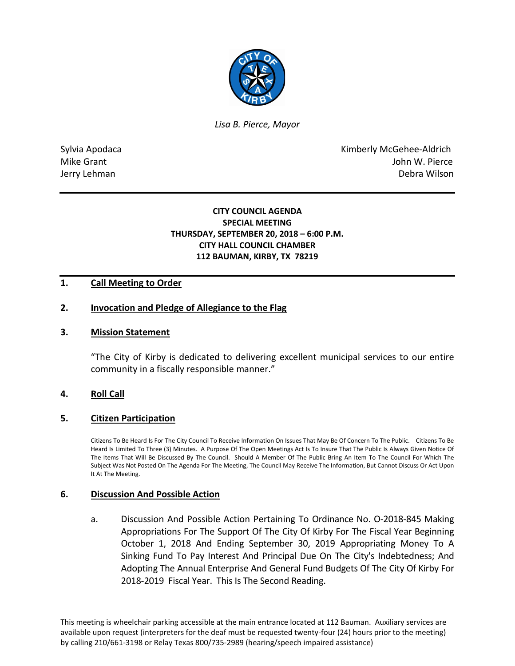

*Lisa B. Pierce, Mayor* 

Sylvia Apodaca **Kimberly McGehee-Aldrich** Mike Grant **Mike Grant** John W. Pierce Jerry Lehman Debra Wilson

# **CITY COUNCIL AGENDA SPECIAL MEETING THURSDAY, SEPTEMBER 20, 2018 – 6:00 P.M. CITY HALL COUNCIL CHAMBER 112 BAUMAN, KIRBY, TX 78219**

# **1. Call Meeting to Order**

## **2. Invocation and Pledge of Allegiance to the Flag**

#### **3. Mission Statement**

"The City of Kirby is dedicated to delivering excellent municipal services to our entire community in a fiscally responsible manner."

#### **4. Roll Call**

#### **5. Citizen Participation**

Citizens To Be Heard Is For The City Council To Receive Information On Issues That May Be Of Concern To The Public. Citizens To Be Heard Is Limited To Three (3) Minutes. A Purpose Of The Open Meetings Act Is To Insure That The Public Is Always Given Notice Of The Items That Will Be Discussed By The Council. Should A Member Of The Public Bring An Item To The Council For Which The Subject Was Not Posted On The Agenda For The Meeting, The Council May Receive The Information, But Cannot Discuss Or Act Upon It At The Meeting.

#### **6. Discussion And Possible Action**

a. Discussion And Possible Action Pertaining To Ordinance No. O-2018-845 Making Appropriations For The Support Of The City Of Kirby For The Fiscal Year Beginning October 1, 2018 And Ending September 30, 2019 Appropriating Money To A Sinking Fund To Pay Interest And Principal Due On The City's Indebtedness; And Adopting The Annual Enterprise And General Fund Budgets Of The City Of Kirby For 2018-2019 Fiscal Year. This Is The Second Reading.